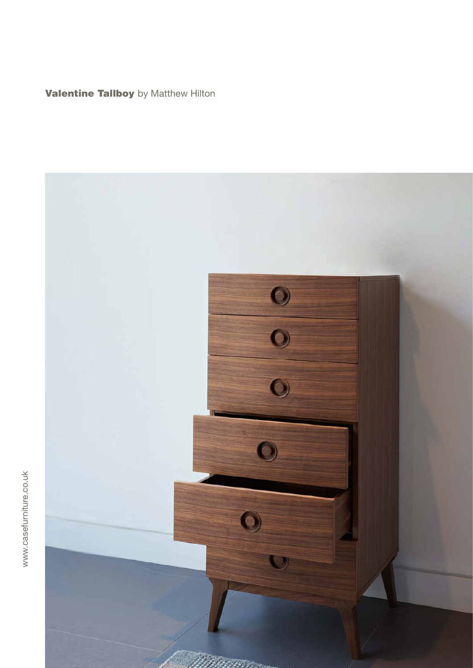**Valentine Tallboy** by Matthew Hilton